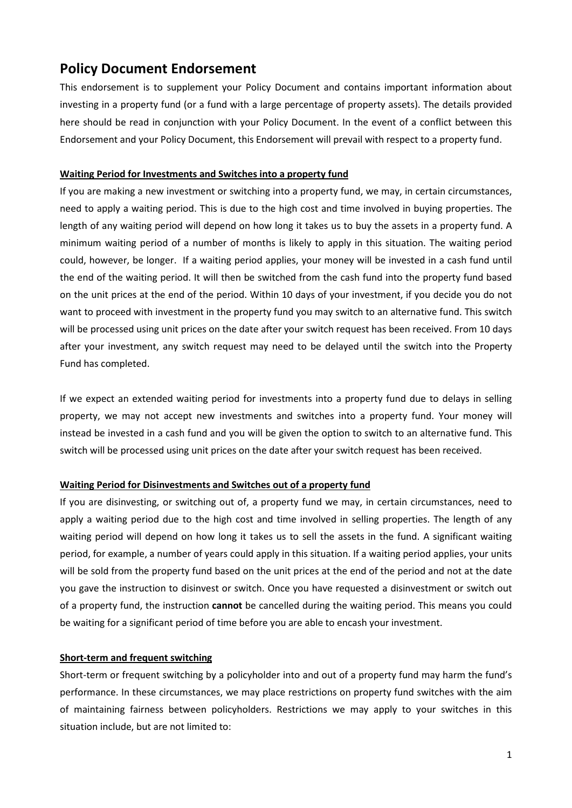# **Policy Document Endorsement**

This endorsement is to supplement your Policy Document and contains important information about investing in a property fund (or a fund with a large percentage of property assets). The details provided here should be read in conjunction with your Policy Document. In the event of a conflict between this Endorsement and your Policy Document, this Endorsement will prevail with respect to a property fund.

### **Waiting Period for Investments and Switches into a property fund**

If you are making a new investment or switching into a property fund, we may, in certain circumstances, need to apply a waiting period. This is due to the high cost and time involved in buying properties. The length of any waiting period will depend on how long it takes us to buy the assets in a property fund. A minimum waiting period of a number of months is likely to apply in this situation. The waiting period could, however, be longer. If a waiting period applies, your money will be invested in a cash fund until the end of the waiting period. It will then be switched from the cash fund into the property fund based on the unit prices at the end of the period. Within 10 days of your investment, if you decide you do not want to proceed with investment in the property fund you may switch to an alternative fund. This switch will be processed using unit prices on the date after your switch request has been received. From 10 days after your investment, any switch request may need to be delayed until the switch into the Property Fund has completed.

If we expect an extended waiting period for investments into a property fund due to delays in selling property, we may not accept new investments and switches into a property fund. Your money will instead be invested in a cash fund and you will be given the option to switch to an alternative fund. This switch will be processed using unit prices on the date after your switch request has been received.

#### **Waiting Period for Disinvestments and Switches out of a property fund**

If you are disinvesting, or switching out of, a property fund we may, in certain circumstances, need to apply a waiting period due to the high cost and time involved in selling properties. The length of any waiting period will depend on how long it takes us to sell the assets in the fund. A significant waiting period, for example, a number of years could apply in this situation. If a waiting period applies, your units will be sold from the property fund based on the unit prices at the end of the period and not at the date you gave the instruction to disinvest or switch. Once you have requested a disinvestment or switch out of a property fund, the instruction **cannot** be cancelled during the waiting period. This means you could be waiting for a significant period of time before you are able to encash your investment.

#### **Short-term and frequent switching**

Short-term or frequent switching by a policyholder into and out of a property fund may harm the fund's performance. In these circumstances, we may place restrictions on property fund switches with the aim of maintaining fairness between policyholders. Restrictions we may apply to your switches in this situation include, but are not limited to: